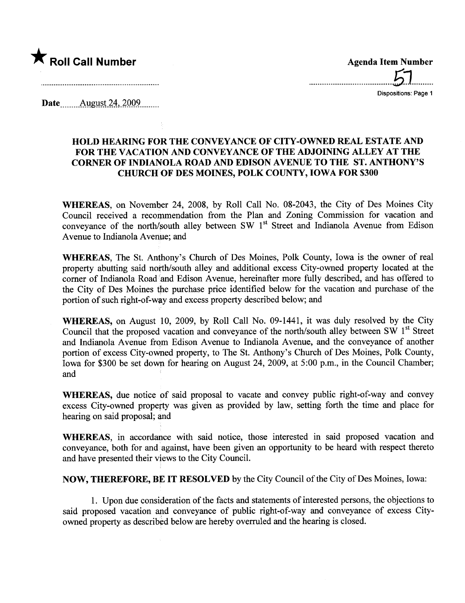

.......................................61..........

Dispositions: Page 1

Date \_\_\_\_\_\_ August 24, 2009.

## HOLD HEARING FOR THE CONVEYANCE OF CITY-OWNED REAL ESTATE AND FOR THE VACATION AND CONVEYANCE OF THE ADJOINING ALLEY AT THE CORNER OF INDIANOLA ROAD AND EDISON AVENUE TO THE ST. ANTHONY'S CHURCH OF DES MOINES, POLK COUNTY, IOWA FOR \$300

WHEREAS, on November 24, 2008, by Roll Call No. 08-2043, the City of Des Moines City Council received a recommendation from the Plan and Zoning Commission for vacation and conveyance of the north/south alley between SW  $1<sup>st</sup>$  Street and Indianola Avenue from Edison Avenue to Indianola Avenue; and

WHEREAS, The St. Anthony's Church of Des Moines, Polk County, Iowa is the owner of real property abutting said north/south alley and additional excess City-owned property located at the corner of Indianola Road and Edison Avenue, hereinafter more fully described, and has offered to the City of Des Moines the purchase price identified below for the vacation and purchase of the portion of such right-of-way and excess property described below; and

WHEREAS, on August 10, 2009, by Roll Call No. 09-1441, it was duly resolved by the City Council that the proposed vacation and conveyance of the north/south alley between SW  $1<sup>st</sup>$  Street and Indianola Avenue from Edison Avenue to Indianola Avenue, and the conveyance of another portion of excess City-owned property, to The St. Anthony's Church of Des Moines, Polk County, Iowa for \$300 be set down for hearing on August 24, 2009, at 5:00 p.m., in the Council Chamber; and

WHEREAS, due notice of said proposal to vacate and convey public right-of-way and convey excess City-owned property was given as provided by law, setting forth the time and place for hearing on said proposal; and

WHEREAS, in accordance with said notice, those interested in said proposed vacation and conveyance, both for and against, have been given an opportunity to be heard with respect thereto and have presented their views to the City CounciL.

NOW, THEREFORE, BE IT RESOLVED by the City Council of the City of Des Moines, Iowa:

1. Upon due consideration of the facts and statements of interested persons, the objections to said proposed vacation and conveyance of public right-of-way and conveyance of excess Cityowned property as described below are hereby overruled and the hearing is closed.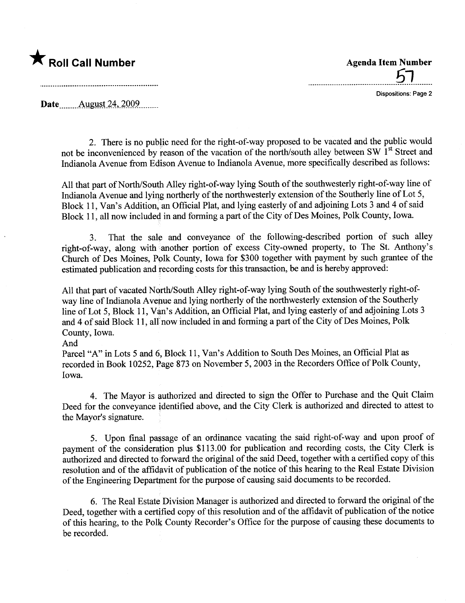

<u>הפ</u>

Dispositions: Page 2

Date .......Allgmi.t24,)QQ9........\_

2. There is no public need for the right-of-way proposed to be vacated and the public would not be inconvenienced by reason of the vacation of the north/south alley between SW  $1<sup>st</sup>$  Street and Indianola Avenue from Edison Avenue to Indianola Avenue, more specifically described as follows:

All that part of North/South Alley right-of-way lying South of the southwesterly right-of-way line of Indianola Avenue and lying northerly of the northwesterly extension of the Southerly line of Lot 5, Block 11, Van's Addition, an Official Plat, and lying easterly of and adjoining Lots 3 and 4 of said Block 11, all now included in and forming a part of the City of Des Moines, Polk County, Iowa.

3. That the sale and conveyance of the following-described portion of such alley right-of-way, along with another portion of excess City-owned property, to The St. Anthony's Church of Des Moines, Polk County, Iowa for \$300 together with payment by such grantee of the estimated publication and recording costs for this transaction, be and is hereby approved:

All that part of vacated North/South Alley right-of-way lying South of the southwesterly right-ofway line of Indianola Avenue and lying northerly of the northwesterly extension of the Southerly line of Lot 5, Block 11, Van's Addition, an Official Plat, and lying easterly of and adjoining Lots 3 and 4 of said Block 11, all now included in and forming a part of the City of Des Moines, Polk County, Iowa.

## And

Parcel "A" in Lots 5 and 6, Block 11, Van's Addition to South Des Moines, an Official Plat as recorded in Book 10252, Page 873 on November 5, 2003 in the Recorders Office of Polk County, Iowa.

4. The Mayor is authorized and directed to sign the Offer to Purchase and the Quit Claim Deed for the conveyance identified above, and the City Clerk is authorized and directed to attest to the Mayor's signature.

5. Upon final passage of an ordinance vacating the said right-of-way and upon proof of payment of the consideration plus \$113.00 for publication and recording costs, the City Clerk is authorized and directed to forward the original of the said Deed, together with a certified copy of this resolution and of the affidavit of publication of the notice of this hearing to the Real Estate Division of the Engineering Deparment for the purose of causing said documents to be recorded.

6. The Real Estate Division Manager is authorized and directed to forward the original of the Deed, together with a certified copy of this resolution and of the affidavit of publication of the notice of this hearing, to the Polk County Recorder's Office for the purpose of causing these documents to be recorded.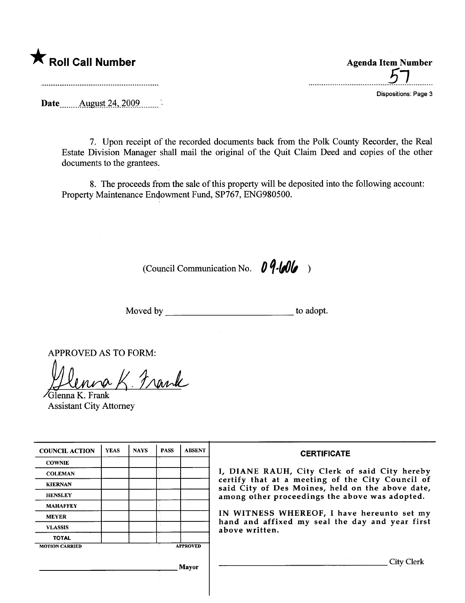

....................................5.7...........

Dispositions: Page 3

Date ......... August 24, 2009..........

7. Upon receipt of the recorded documents back from the Polk County Recorder, the Real Estate Division Manager shall mail the original of the Quit Claim Deed and copies of the other documents to the grantees.

8. The proceeds from the sale of this property will be deposited into the following account: Property Maintenance Endowment Fund, SP767, ENG980500.

(Council Communication No.  $0$   $9$ - $60$ 

Moved by to adopt.

APPROVED AS TO FORM:

Jlenna K. Frank

Assistant City Attorney

| <b>COUNCIL ACTION</b> | <b>YEAS</b> | <b>NAYS</b> | <b>PASS</b> | <b>ABSENT</b>   | <b>CERTIFICATE</b>                                                                                                                                                                                                                                                                                                         |
|-----------------------|-------------|-------------|-------------|-----------------|----------------------------------------------------------------------------------------------------------------------------------------------------------------------------------------------------------------------------------------------------------------------------------------------------------------------------|
| <b>COWNIE</b>         |             |             |             |                 | I, DIANE RAUH, City Clerk of said City hereby<br>certify that at a meeting of the City Council of<br>said City of Des Moines, held on the above date,<br>among other proceedings the above was adopted.<br>IN WITNESS WHEREOF, I have hereunto set my<br>hand and affixed my seal the day and year first<br>above written. |
| <b>COLEMAN</b>        |             |             |             |                 |                                                                                                                                                                                                                                                                                                                            |
| <b>KIERNAN</b>        |             |             |             |                 |                                                                                                                                                                                                                                                                                                                            |
| <b>HENSLEY</b>        |             |             |             |                 |                                                                                                                                                                                                                                                                                                                            |
| <b>MAHAFFEY</b>       |             |             |             |                 |                                                                                                                                                                                                                                                                                                                            |
| <b>MEYER</b>          |             |             |             |                 |                                                                                                                                                                                                                                                                                                                            |
| <b>VLASSIS</b>        |             |             |             |                 |                                                                                                                                                                                                                                                                                                                            |
| <b>TOTAL</b>          |             |             |             |                 |                                                                                                                                                                                                                                                                                                                            |
| <b>MOTION CARRIED</b> |             |             |             | <b>APPROVED</b> |                                                                                                                                                                                                                                                                                                                            |
|                       |             |             | Mayor       |                 | City Clerk                                                                                                                                                                                                                                                                                                                 |
|                       |             |             |             |                 |                                                                                                                                                                                                                                                                                                                            |
|                       |             |             |             |                 |                                                                                                                                                                                                                                                                                                                            |